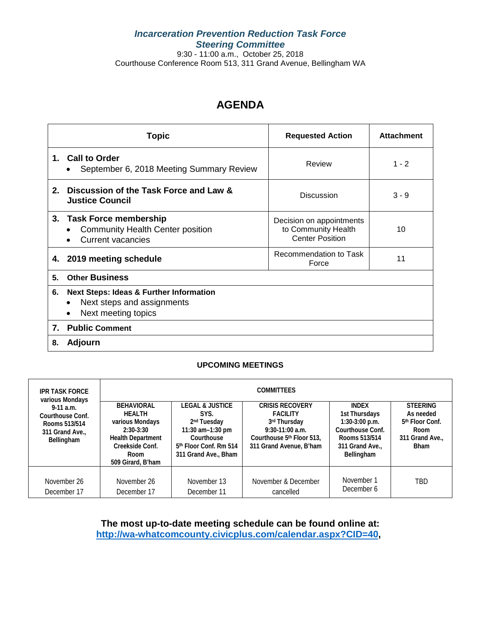## *Incarceration Prevention Reduction Task Force Steering Committee* 9:30 - 11:00 a.m., October 25, 2018

Courthouse Conference Room 513, 311 Grand Avenue, Bellingham WA

## **AGENDA**

|    | Topic                                                                                                   | <b>Requested Action</b>                                                   | <b>Attachment</b> |
|----|---------------------------------------------------------------------------------------------------------|---------------------------------------------------------------------------|-------------------|
|    | 1. Call to Order<br>September 6, 2018 Meeting Summary Review                                            | Review                                                                    | $1 - 2$           |
| 2. | Discussion of the Task Force and Law &<br><b>Justice Council</b>                                        | <b>Discussion</b>                                                         | $3 - 9$           |
|    | 3. Task Force membership<br><b>Community Health Center position</b><br><b>Current vacancies</b>         | Decision on appointments<br>to Community Health<br><b>Center Position</b> | 10                |
|    | 4. 2019 meeting schedule                                                                                | Recommendation to Task<br>Force                                           | 11                |
| 5. | <b>Other Business</b>                                                                                   |                                                                           |                   |
| 6. | <b>Next Steps: Ideas &amp; Further Information</b><br>Next steps and assignments<br>Next meeting topics |                                                                           |                   |
| 7. | <b>Public Comment</b>                                                                                   |                                                                           |                   |
| 8. | Adjourn                                                                                                 |                                                                           |                   |

### **UPCOMING MEETINGS**

| <b>IPR TASK FORCE</b><br>various Mondays                                          | <b>COMMITTEES</b>                                                                                                                                |                                                                                                                                                               |                                                                                                                                        |                                                                                                                       |                                                                                                       |
|-----------------------------------------------------------------------------------|--------------------------------------------------------------------------------------------------------------------------------------------------|---------------------------------------------------------------------------------------------------------------------------------------------------------------|----------------------------------------------------------------------------------------------------------------------------------------|-----------------------------------------------------------------------------------------------------------------------|-------------------------------------------------------------------------------------------------------|
| $9-11$ a.m.<br>Courthouse Conf.<br>Rooms 513/514<br>311 Grand Ave.,<br>Bellingham | <b>BEHAVIORAL</b><br><b>HFAITH</b><br>various Mondays<br>$2:30-3:30$<br><b>Health Department</b><br>Creekside Conf.<br>Room<br>509 Girard, B'ham | <b>LEGAL &amp; JUSTICE</b><br>SYS.<br>2 <sup>nd</sup> Tuesday<br>11:30 am-1:30 pm<br>Courthouse<br>5 <sup>th</sup> Floor Conf. Rm 514<br>311 Grand Ave., Bham | <b>CRISIS RECOVERY</b><br><b>FACILITY</b><br>3rd Thursday<br>$9:30-11:00$ a.m.<br>Courthouse 5th Floor 513.<br>311 Grand Avenue, B'ham | <b>INDFX</b><br>1st Thursdays<br>$1:30-3:00$ p.m.<br>Courthouse Conf.<br>Rooms 513/514<br>311 Grand Ave<br>Bellingham | <b>STEERING</b><br>As needed<br>5 <sup>th</sup> Floor Conf.<br>Room<br>311 Grand Ave.,<br><b>Bham</b> |
| November 26<br>December 17                                                        | November 26<br>December 17                                                                                                                       | November 13<br>December 11                                                                                                                                    | November & December<br>cancelled                                                                                                       | November 1<br>December 6                                                                                              | TBD                                                                                                   |

**The most up-to-date meeting schedule can be found online at: [http://wa-whatcomcounty.civicplus.com/calendar.aspx?CID=40,](http://wa-whatcomcounty.civicplus.com/calendar.aspx?CID=40)**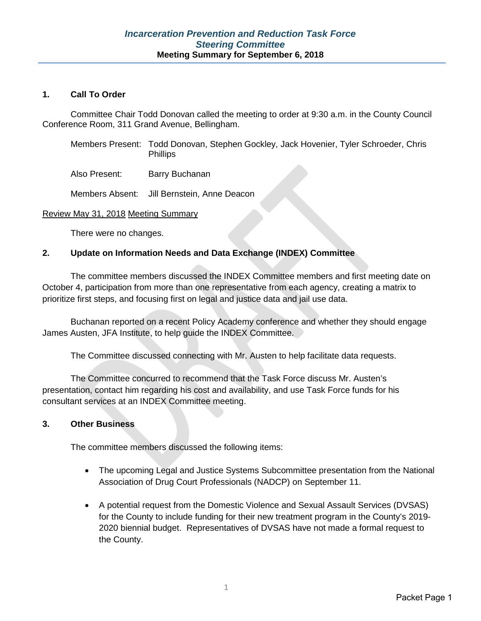### **1. Call To Order**

Committee Chair Todd Donovan called the meeting to order at 9:30 a.m. in the County Council Conference Room, 311 Grand Avenue, Bellingham.

Members Present: Todd Donovan, Stephen Gockley, Jack Hovenier, Tyler Schroeder, Chris **Phillips** 

Also Present: Barry Buchanan

Members Absent: Jill Bernstein, Anne Deacon

### Review May 31, 2018 Meeting Summary

There were no changes.

### **2. Update on Information Needs and Data Exchange (INDEX) Committee**

The committee members discussed the INDEX Committee members and first meeting date on October 4, participation from more than one representative from each agency, creating a matrix to prioritize first steps, and focusing first on legal and justice data and jail use data.

Buchanan reported on a recent Policy Academy conference and whether they should engage James Austen, JFA Institute, to help guide the INDEX Committee.

The Committee discussed connecting with Mr. Austen to help facilitate data requests.

The Committee concurred to recommend that the Task Force discuss Mr. Austen's presentation, contact him regarding his cost and availability, and use Task Force funds for his consultant services at an INDEX Committee meeting.

### **3. Other Business**

The committee members discussed the following items:

- The upcoming Legal and Justice Systems Subcommittee presentation from the National Association of Drug Court Professionals (NADCP) on September 11.
- A potential request from the Domestic Violence and Sexual Assault Services (DVSAS) for the County to include funding for their new treatment program in the County's 2019- 2020 biennial budget. Representatives of DVSAS have not made a formal request to the County.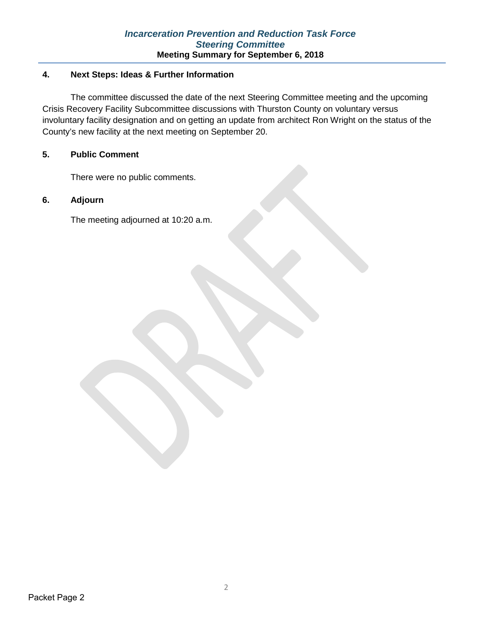### **4. Next Steps: Ideas & Further Information**

The committee discussed the date of the next Steering Committee meeting and the upcoming Crisis Recovery Facility Subcommittee discussions with Thurston County on voluntary versus involuntary facility designation and on getting an update from architect Ron Wright on the status of the County's new facility at the next meeting on September 20.

### **5. Public Comment**

There were no public comments.

### **6. Adjourn**

The meeting adjourned at 10:20 a.m.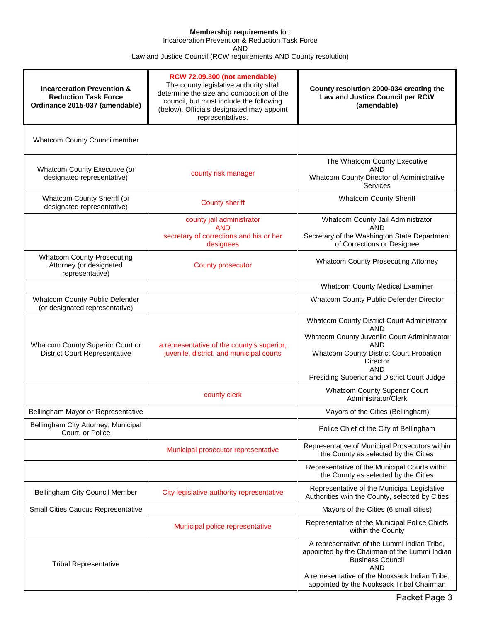#### **Membership requirements** for:

Incarceration Prevention & Reduction Task Force

AND

Law and Justice Council (RCW requirements AND County resolution)

| <b>Incarceration Prevention &amp;</b><br><b>Reduction Task Force</b><br>Ordinance 2015-037 (amendable) | RCW 72.09.300 (not amendable)<br>The county legislative authority shall<br>determine the size and composition of the<br>council, but must include the following<br>(below). Officials designated may appoint<br>representatives. | County resolution 2000-034 creating the<br>Law and Justice Council per RCW<br>(amendable)                                                                                                                                                  |
|--------------------------------------------------------------------------------------------------------|----------------------------------------------------------------------------------------------------------------------------------------------------------------------------------------------------------------------------------|--------------------------------------------------------------------------------------------------------------------------------------------------------------------------------------------------------------------------------------------|
| <b>Whatcom County Councilmember</b>                                                                    |                                                                                                                                                                                                                                  |                                                                                                                                                                                                                                            |
| Whatcom County Executive (or<br>designated representative)                                             | county risk manager                                                                                                                                                                                                              | The Whatcom County Executive<br><b>AND</b><br>Whatcom County Director of Administrative<br>Services                                                                                                                                        |
| Whatcom County Sheriff (or<br>designated representative)                                               | <b>County sheriff</b>                                                                                                                                                                                                            | <b>Whatcom County Sheriff</b>                                                                                                                                                                                                              |
|                                                                                                        | county jail administrator<br><b>AND</b><br>secretary of corrections and his or her<br>designees                                                                                                                                  | Whatcom County Jail Administrator<br><b>AND</b><br>Secretary of the Washington State Department<br>of Corrections or Designee                                                                                                              |
| <b>Whatcom County Prosecuting</b><br>Attorney (or designated<br>representative)                        | <b>County prosecutor</b>                                                                                                                                                                                                         | <b>Whatcom County Prosecuting Attorney</b>                                                                                                                                                                                                 |
|                                                                                                        |                                                                                                                                                                                                                                  | <b>Whatcom County Medical Examiner</b>                                                                                                                                                                                                     |
| Whatcom County Public Defender<br>(or designated representative)                                       |                                                                                                                                                                                                                                  | Whatcom County Public Defender Director                                                                                                                                                                                                    |
| Whatcom County Superior Court or<br><b>District Court Representative</b>                               | a representative of the county's superior,<br>juvenile, district, and municipal courts                                                                                                                                           | Whatcom County District Court Administrator<br>AND<br>Whatcom County Juvenile Court Administrator<br><b>AND</b><br><b>Whatcom County District Court Probation</b><br>Director<br><b>AND</b><br>Presiding Superior and District Court Judge |
|                                                                                                        | county clerk                                                                                                                                                                                                                     | <b>Whatcom County Superior Court</b><br>Administrator/Clerk                                                                                                                                                                                |
| Bellingham Mayor or Representative                                                                     |                                                                                                                                                                                                                                  | Mayors of the Cities (Bellingham)                                                                                                                                                                                                          |
| Bellingham City Attorney, Municipal<br>Court, or Police                                                |                                                                                                                                                                                                                                  | Police Chief of the City of Bellingham                                                                                                                                                                                                     |
|                                                                                                        | Municipal prosecutor representative                                                                                                                                                                                              | Representative of Municipal Prosecutors within<br>the County as selected by the Cities                                                                                                                                                     |
|                                                                                                        |                                                                                                                                                                                                                                  | Representative of the Municipal Courts within<br>the County as selected by the Cities                                                                                                                                                      |
| Bellingham City Council Member                                                                         | City legislative authority representative                                                                                                                                                                                        | Representative of the Municipal Legislative<br>Authorities w/in the County, selected by Cities                                                                                                                                             |
| Small Cities Caucus Representative                                                                     |                                                                                                                                                                                                                                  | Mayors of the Cities (6 small cities)                                                                                                                                                                                                      |
|                                                                                                        | Municipal police representative                                                                                                                                                                                                  | Representative of the Municipal Police Chiefs<br>within the County                                                                                                                                                                         |
| <b>Tribal Representative</b>                                                                           |                                                                                                                                                                                                                                  | A representative of the Lummi Indian Tribe,<br>appointed by the Chairman of the Lummi Indian<br><b>Business Council</b><br><b>AND</b><br>A representative of the Nooksack Indian Tribe,<br>appointed by the Nooksack Tribal Chairman       |

Packet Page 3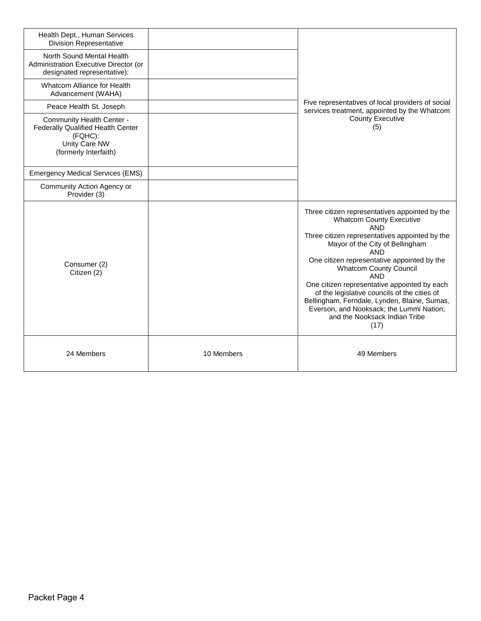| Health Dept., Human Services<br><b>Division Representative</b>                                                      |            |                                                                                                                                                                                                                                                                                                                                                                                                                                                                                                                                       |
|---------------------------------------------------------------------------------------------------------------------|------------|---------------------------------------------------------------------------------------------------------------------------------------------------------------------------------------------------------------------------------------------------------------------------------------------------------------------------------------------------------------------------------------------------------------------------------------------------------------------------------------------------------------------------------------|
| North Sound Mental Health<br>Administration Executive Director (or<br>designated representative):                   |            |                                                                                                                                                                                                                                                                                                                                                                                                                                                                                                                                       |
| Whatcom Alliance for Health<br>Advancement (WAHA)                                                                   |            |                                                                                                                                                                                                                                                                                                                                                                                                                                                                                                                                       |
| Peace Health St. Joseph                                                                                             |            | Five representatives of local providers of social<br>services treatment, appointed by the Whatcom                                                                                                                                                                                                                                                                                                                                                                                                                                     |
| Community Health Center -<br>Federally Qualified Health Center<br>(FQHC):<br>Unity Care NW<br>(formerly Interfaith) |            | <b>County Executive</b><br>(5)                                                                                                                                                                                                                                                                                                                                                                                                                                                                                                        |
| <b>Emergency Medical Services (EMS)</b>                                                                             |            |                                                                                                                                                                                                                                                                                                                                                                                                                                                                                                                                       |
| Community Action Agency or<br>Provider (3)                                                                          |            |                                                                                                                                                                                                                                                                                                                                                                                                                                                                                                                                       |
| Consumer (2)<br>Citizen (2)                                                                                         |            | Three citizen representatives appointed by the<br><b>Whatcom County Executive</b><br><b>AND</b><br>Three citizen representatives appointed by the<br>Mayor of the City of Bellingham<br><b>AND</b><br>One citizen representative appointed by the<br><b>Whatcom County Council</b><br><b>AND</b><br>One citizen representative appointed by each<br>of the legislative councils of the cities of<br>Bellingham, Ferndale, Lynden, Blaine, Sumas,<br>Everson, and Nooksack; the Lummi Nation;<br>and the Nooksack Indian Tribe<br>(17) |
| 24 Members                                                                                                          | 10 Members | 49 Members                                                                                                                                                                                                                                                                                                                                                                                                                                                                                                                            |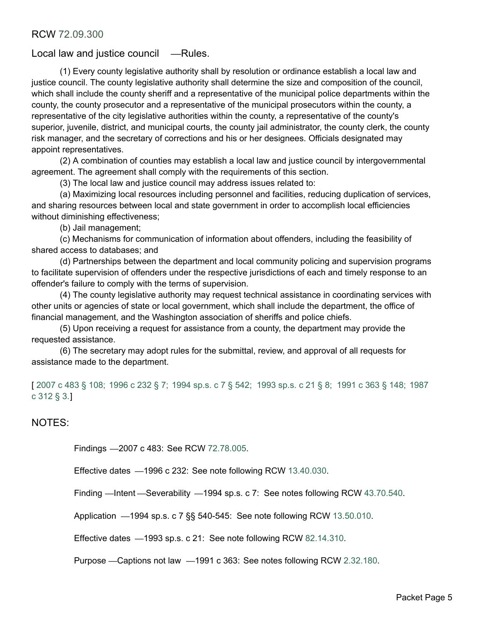## Local law and justice council — Rules.

(1) Every county legislative authority shall by resolution or ordinance establish a local law and justice council. The county legislative authority shall determine the size and composition of the council, which shall include the county sheriff and a representative of the municipal police departments within the county, the county prosecutor and a representative of the municipal prosecutors within the county, a representative of the city legislative authorities within the county, a representative of the county's superior, juvenile, district, and municipal courts, the county jail administrator, the county clerk, the county risk manager, and the secretary of corrections and his or her designees. Officials designated may appoint representatives.

(2) A combination of counties may establish a local law and justice council by intergovernmental agreement. The agreement shall comply with the requirements of this section.

(3) The local law and justice council may address issues related to:

(a) Maximizing local resources including personnel and facilities, reducing duplication of services, and sharing resources between local and state government in order to accomplish local efficiencies without diminishing effectiveness;

(b) Jail management;

(c) Mechanisms for communication of information about offenders, including the feasibility of shared access to databases; and

(d) Partnerships between the department and local community policing and supervision programs to facilitate supervision of offenders under the respective jurisdictions of each and timely response to an offender's failure to comply with the terms of supervision.

(4) The county legislative authority may request technical assistance in coordinating services with other units or agencies of state or local government, which shall include the department, the office of financial management, and the Washington association of sheriffs and police chiefs.

(5) Upon receiving a request for assistance from a county, the department may provide the requested assistance.

(6) The secretary may adopt rules for the submittal, review, and approval of all requests for assistance made to the department.

[ [2007 c 483 § 108;](http://lawfilesext.leg.wa.gov/biennium/2007-08/Pdf/Bills/Session%20Laws/Senate/6157-S.SL.pdf?cite=2007%20c%20483%20%C2%A7%20108;) [1996 c 232 § 7;](http://lawfilesext.leg.wa.gov/biennium/1995-96/Pdf/Bills/Session%20Laws/Senate/6253.SL.pdf?cite=1996%20c%20232%20%C2%A7%207;) [1994 sp.s. c 7 § 542;](http://leg.wa.gov/CodeReviser/documents/sessionlaw/1987c312.pdf?cite=1987%20c%20312%20%C2%A7%203.) [1993 sp.s. c 21 § 8;](http://lawfilesext.leg.wa.gov/biennium/1993-94/Pdf/Bills/Session%20Laws/Senate/5521-S2.SL.pdf?cite=1993%20sp.s.%20c%2021%20%C2%A7%208;) [1991 c 363 § 148;](http://lawfilesext.leg.wa.gov/biennium/1991-92/Pdf/Bills/Session%20Laws/House/1201-S.SL.pdf?cite=1991%20c%20363%20%C2%A7%20148;) 1987 c 312 § 3.]

NOTES:

Findings —2007 c 483: See RCW [72.78.005](http://app.leg.wa.gov/RCW/default.aspx?cite=72.78.005).

Effective dates —1996 c 232: See note following RCW [13.40.030.](http://app.leg.wa.gov/RCW/default.aspx?cite=13.40.030)

Finding —Intent —Severability —1994 sp.s. c 7: See notes following RCW [43.70.540.](http://app.leg.wa.gov/RCW/default.aspx?cite=43.70.540)

Application —1994 sp.s. c 7 §§ 540-545: See note following RCW [13.50.010](http://app.leg.wa.gov/RCW/default.aspx?cite=13.50.010).

Effective dates —1993 sp.s. c 21: See note following RCW [82.14.310.](http://app.leg.wa.gov/RCW/default.aspx?cite=82.14.310)

Purpose —Captions not law —1991 c 363: See notes following RCW [2.32.180](http://app.leg.wa.gov/RCW/default.aspx?cite=2.32.180).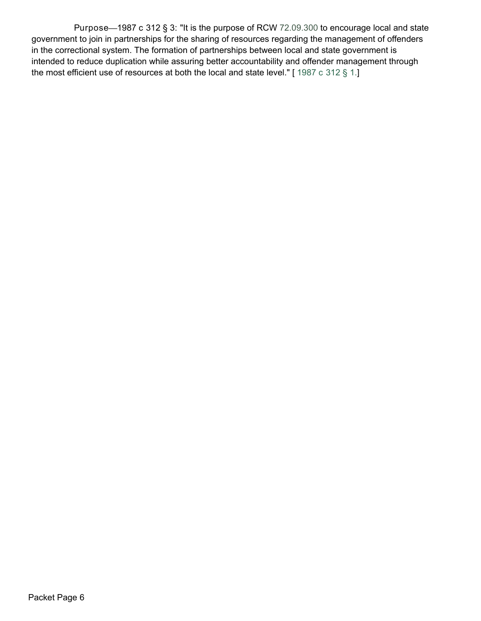Purpose—1987 c 312 § 3: "It is the purpose of RCW [72.09.300](http://app.leg.wa.gov/RCW/default.aspx?cite=72.09.300) to encourage local and state government to join in partnerships for the sharing of resources regarding the management of offenders in the correctional system. The formation of partnerships between local and state government is intended to reduce duplication while assuring better accountability and offender management through the most efficient use of resources at both the local and state level." [1987 c 312 § 1.]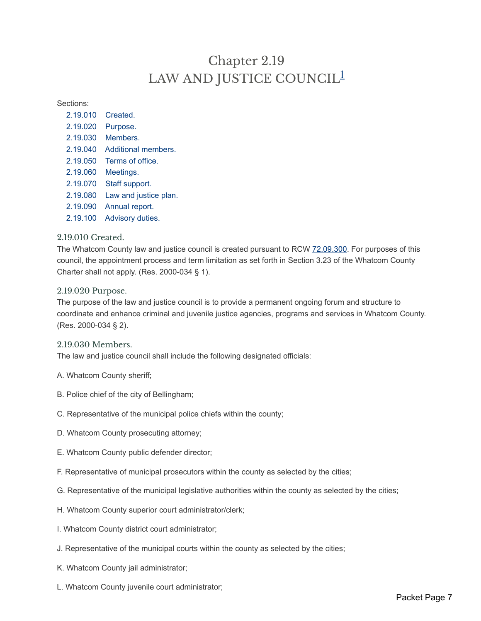# Chapter 2.19 LAW AND JUSTICE COUNCIL<sup>1</sup>

Sections:

- 2.19.010 Created. 2.19.020 Purpose. 2.19.030 Members. 2.19.040 Additional members. 2.19.050 Terms of office.
- 2.19.060 Meetings.
- 2.19.070 Staff support.
- 2.19.080 Law and justice plan.
- 2.19.090 Annual report.
- 2.19.100 Advisory duties.

### 2.19.010 Created.

The Whatcom County law and justice council is created pursuant to RCW [72.09.300.](https://www.codepublishing.com/cgi-bin/rcw.pl?cite=72.09.300) For purposes of this council, the appointment process and term limitation as set forth in Section 3.23 of the Whatcom County Charter shall not apply. (Res. 2000-034 § 1).

#### 2.19.020 Purpose.

The purpose of the law and justice council is to provide a permanent ongoing forum and structure to coordinate and enhance criminal and juvenile justice agencies, programs and services in Whatcom County. (Res. 2000-034 § 2).

### 2.19.030 Members.

The law and justice council shall include the following designated officials:

- A. Whatcom County sheriff;
- B. Police chief of the city of Bellingham;
- C. Representative of the municipal police chiefs within the county;
- D. Whatcom County prosecuting attorney;
- E. Whatcom County public defender director;
- F. Representative of municipal prosecutors within the county as selected by the cities;
- G. Representative of the municipal legislative authorities within the county as selected by the cities;
- H. Whatcom County superior court administrator/clerk;
- I. Whatcom County district court administrator;
- J. Representative of the municipal courts within the county as selected by the cities;
- K. Whatcom County jail administrator;
- L. Whatcom County juvenile court administrator;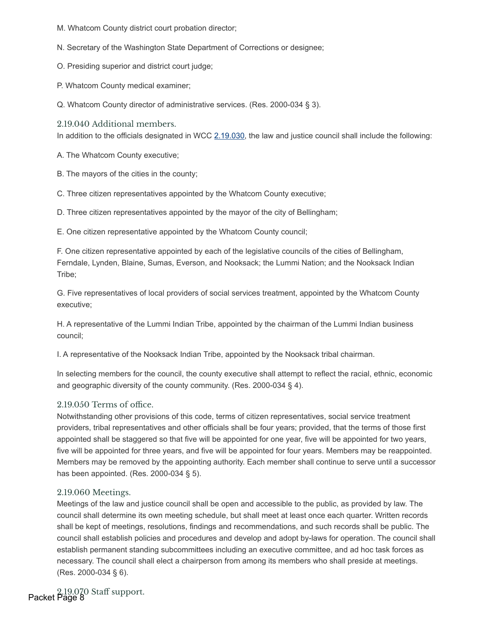- M. Whatcom County district court probation director;
- N. Secretary of the Washington State Department of Corrections or designee;
- O. Presiding superior and district court judge;
- P. Whatcom County medical examiner;
- Q. Whatcom County director of administrative services. (Res. 2000-034 § 3).
- 2.19.040 Additional members.

In addition to the officials designated in WCC 2.19.030, the law and justice council shall include the following:

A. The Whatcom County executive;

- B. The mayors of the cities in the county;
- C. Three citizen representatives appointed by the Whatcom County executive;
- D. Three citizen representatives appointed by the mayor of the city of Bellingham;

E. One citizen representative appointed by the Whatcom County council;

F. One citizen representative appointed by each of the legislative councils of the cities of Bellingham, Ferndale, Lynden, Blaine, Sumas, Everson, and Nooksack; the Lummi Nation; and the Nooksack Indian Tribe;

G. Five representatives of local providers of social services treatment, appointed by the Whatcom County executive;

H. A representative of the Lummi Indian Tribe, appointed by the chairman of the Lummi Indian business council;

I. A representative of the Nooksack Indian Tribe, appointed by the Nooksack tribal chairman.

In selecting members for the council, the county executive shall attempt to reflect the racial, ethnic, economic and geographic diversity of the county community. (Res. 2000-034 § 4).

### $2.19.050$  Terms of office.

Notwithstanding other provisions of this code, terms of citizen representatives, social service treatment providers, tribal representatives and other officials shall be four years; provided, that the terms of those first appointed shall be staggered so that five will be appointed for one year, five will be appointed for two years, five will be appointed for three years, and five will be appointed for four years. Members may be reappointed. Members may be removed by the appointing authority. Each member shall continue to serve until a successor has been appointed. (Res. 2000-034 § 5).

### 2.19.060 Meetings.

Meetings of the law and justice council shall be open and accessible to the public, as provided by law. The council shall determine its own meeting schedule, but shall meet at least once each quarter. Written records shall be kept of meetings, resolutions, findings and recommendations, and such records shall be public. The council shall establish policies and procedures and develop and adopt by-laws for operation. The council shall establish permanent standing subcommittees including an executive committee, and ad hoc task forces as necessary. The council shall elect a chairperson from among its members who shall preside at meetings. (Res. 2000-034 § 6).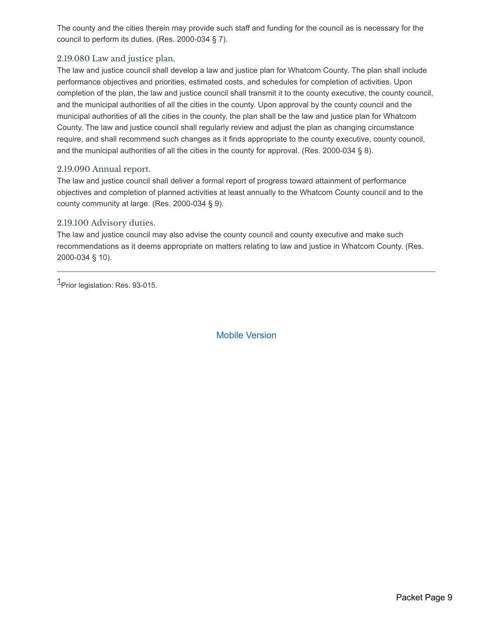The county and the cities therein may provide such staff and funding for the council as is necessary for the council to perform its duties. (Res. 2000-034 § 7).

### 2.19.080 Law and justice plan.

The law and justice council shall develop a law and justice plan for Whatcom County. The plan shall include performance objectives and priorities, estimated costs, and schedules for completion of activities. Upon completion of the plan, the law and justice council shall transmit it to the county executive, the county council, and the municipal authorities of all the cities in the county. Upon approval by the county council and the municipal authorities of all the cities in the county, the plan shall be the law and justice plan for Whatcom County. The law and justice council shall regularly review and adjust the plan as changing circumstance require, and shall recommend such changes as it finds appropriate to the county executive, county council, and the municipal authorities of all the cities in the county for approval. (Res. 2000-034 § 8).

### 2.19.090 Annual report.

The law and justice council shall deliver a formal report of progress toward attainment of performance objectives and completion of planned activities at least annually to the Whatcom County council and to the county community at large. (Res. 2000-034 § 9).

### 2.19.100 Advisory duties.

The law and justice council may also advise the county council and county executive and make such recommendations as it deems appropriate on matters relating to law and justice in Whatcom County. (Res. 2000-034 § 10).

1<br>Prior legislation: Res. 93-015.

Mobile Version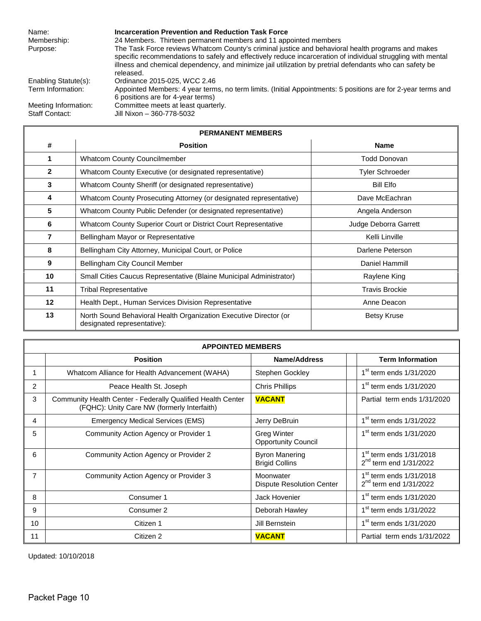## Name: **Incarceration Prevention and Reduction Task Force**<br>Membership: 24 Members. Thirteen permanent members and 11 app

24 Members. Thirteen permanent members and 11 appointed members Purpose: The Task Force reviews Whatcom County's criminal justice and behavioral health programs and makes specific recommendations to safely and effectively reduce incarceration of individual struggling with mental illness and chemical dependency, and minimize jail utilization by pretrial defendants who can safety be released.

Enabling Statute(s): Ordinance 2015-025, WCC 2.46 Term Information: Appointed Members: 4 year terms, no term limits. (Initial Appointments: 5 positions are for 2-year terms and 6 positions are for 4-year terms) Meeting Information: Committee meets at least quarterly.<br>Staff Contact: Jill Nixon - 360-778-5032 Jill Nixon – 360-778-5032

| <b>PERMANENT MEMBERS</b> |                                                                                                  |                        |  |  |  |
|--------------------------|--------------------------------------------------------------------------------------------------|------------------------|--|--|--|
| #                        | <b>Position</b>                                                                                  | <b>Name</b>            |  |  |  |
|                          | <b>Whatcom County Councilmember</b>                                                              | Todd Donovan           |  |  |  |
| $\mathbf{2}$             | Whatcom County Executive (or designated representative)                                          | <b>Tyler Schroeder</b> |  |  |  |
| 3                        | Whatcom County Sheriff (or designated representative)                                            | Bill Elfo              |  |  |  |
| 4                        | Whatcom County Prosecuting Attorney (or designated representative)                               | Dave McEachran         |  |  |  |
| 5                        | Whatcom County Public Defender (or designated representative)                                    | Angela Anderson        |  |  |  |
| 6                        | Whatcom County Superior Court or District Court Representative                                   | Judge Deborra Garrett  |  |  |  |
| 7                        | Bellingham Mayor or Representative                                                               | Kelli Linville         |  |  |  |
| 8                        | Bellingham City Attorney, Municipal Court, or Police                                             | Darlene Peterson       |  |  |  |
| 9                        | Bellingham City Council Member                                                                   | Daniel Hammill         |  |  |  |
| 10                       | Small Cities Caucus Representative (Blaine Municipal Administrator)                              | Raylene King           |  |  |  |
| 11                       | <b>Tribal Representative</b>                                                                     | <b>Travis Brockie</b>  |  |  |  |
| $12 \,$                  | Health Dept., Human Services Division Representative                                             | Anne Deacon            |  |  |  |
| 13                       | North Sound Behavioral Health Organization Executive Director (or<br>designated representative): | <b>Betsy Kruse</b>     |  |  |  |

| <b>APPOINTED MEMBERS</b> |                                                                                                            |                                                  |                                                         |  |  |
|--------------------------|------------------------------------------------------------------------------------------------------------|--------------------------------------------------|---------------------------------------------------------|--|--|
|                          | <b>Position</b>                                                                                            | Name/Address                                     | <b>Term Information</b>                                 |  |  |
|                          | Whatcom Alliance for Health Advancement (WAHA)                                                             | Stephen Gockley                                  | $1st$ term ends $1/31/2020$                             |  |  |
| 2                        | Peace Health St. Joseph                                                                                    | <b>Chris Phillips</b>                            | $1st$ term ends $1/31/2020$                             |  |  |
| 3                        | Community Health Center - Federally Qualified Health Center<br>(FQHC): Unity Care NW (formerly Interfaith) | <b>VACANT</b>                                    | Partial term ends 1/31/2020                             |  |  |
| 4                        | <b>Emergency Medical Services (EMS)</b>                                                                    | Jerry DeBruin                                    | $1st$ term ends $1/31/2022$                             |  |  |
| 5                        | Community Action Agency or Provider 1                                                                      | <b>Greg Winter</b><br><b>Opportunity Council</b> | 1 <sup>st</sup> term ends 1/31/2020                     |  |  |
| 6                        | Community Action Agency or Provider 2                                                                      | <b>Byron Manering</b><br><b>Brigid Collins</b>   | $1st$ term ends $1/31/2018$<br>$2nd$ term end 1/31/2022 |  |  |
| 7                        | Community Action Agency or Provider 3                                                                      | Moonwater<br><b>Dispute Resolution Center</b>    | $1st$ term ends $1/31/2018$<br>$2nd$ term end 1/31/2022 |  |  |
| 8                        | Consumer 1                                                                                                 | <b>Jack Hovenier</b>                             | $1st$ term ends $1/31/2020$                             |  |  |
| 9                        | Consumer 2                                                                                                 | Deborah Hawley                                   | $1st$ term ends $1/31/2022$                             |  |  |
| 10                       | Citizen 1                                                                                                  | Jill Bernstein                                   | $1st$ term ends $1/31/2020$                             |  |  |
| 11                       | Citizen 2                                                                                                  | <b>VACANT</b>                                    | Partial term ends 1/31/2022                             |  |  |

Updated: 10/10/2018